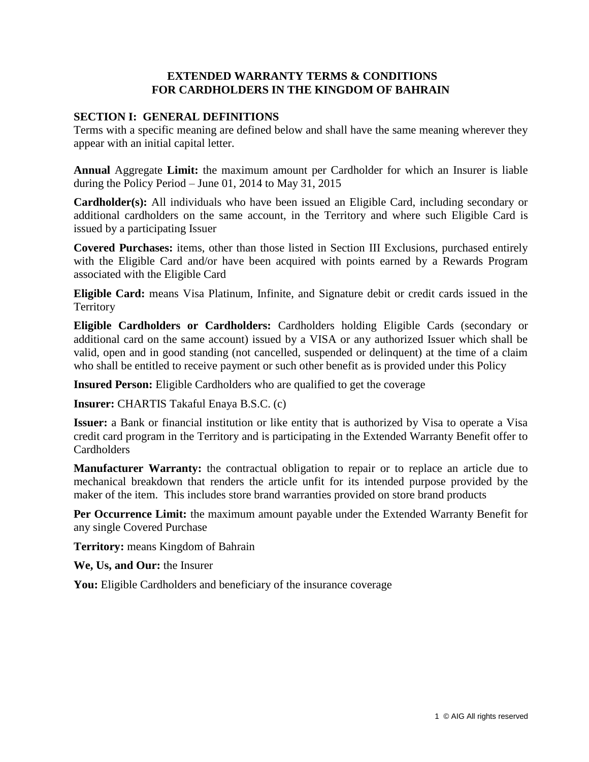# **EXTENDED WARRANTY TERMS & CONDITIONS FOR CARDHOLDERS IN THE KINGDOM OF BAHRAIN**

# **SECTION I: GENERAL DEFINITIONS**

Terms with a specific meaning are defined below and shall have the same meaning wherever they appear with an initial capital letter.

**Annual** Aggregate **Limit:** the maximum amount per Cardholder for which an Insurer is liable during the Policy Period – June 01, 2014 to May 31, 2015

**Cardholder(s):** All individuals who have been issued an Eligible Card, including secondary or additional cardholders on the same account, in the Territory and where such Eligible Card is issued by a participating Issuer

**Covered Purchases:** items, other than those listed in Section III Exclusions, purchased entirely with the Eligible Card and/or have been acquired with points earned by a Rewards Program associated with the Eligible Card

**Eligible Card:** means Visa Platinum, Infinite, and Signature debit or credit cards issued in the **Territory** 

**Eligible Cardholders or Cardholders:** Cardholders holding Eligible Cards (secondary or additional card on the same account) issued by a VISA or any authorized Issuer which shall be valid, open and in good standing (not cancelled, suspended or delinquent) at the time of a claim who shall be entitled to receive payment or such other benefit as is provided under this Policy

**Insured Person:** Eligible Cardholders who are qualified to get the coverage

**Insurer:** CHARTIS Takaful Enaya B.S.C. (c)

**Issuer:** a Bank or financial institution or like entity that is authorized by Visa to operate a Visa credit card program in the Territory and is participating in the Extended Warranty Benefit offer to **Cardholders** 

**Manufacturer Warranty:** the contractual obligation to repair or to replace an article due to mechanical breakdown that renders the article unfit for its intended purpose provided by the maker of the item. This includes store brand warranties provided on store brand products

**Per Occurrence Limit:** the maximum amount payable under the Extended Warranty Benefit for any single Covered Purchase

**Territory:** means Kingdom of Bahrain

**We, Us, and Our:** the Insurer

You: Eligible Cardholders and beneficiary of the insurance coverage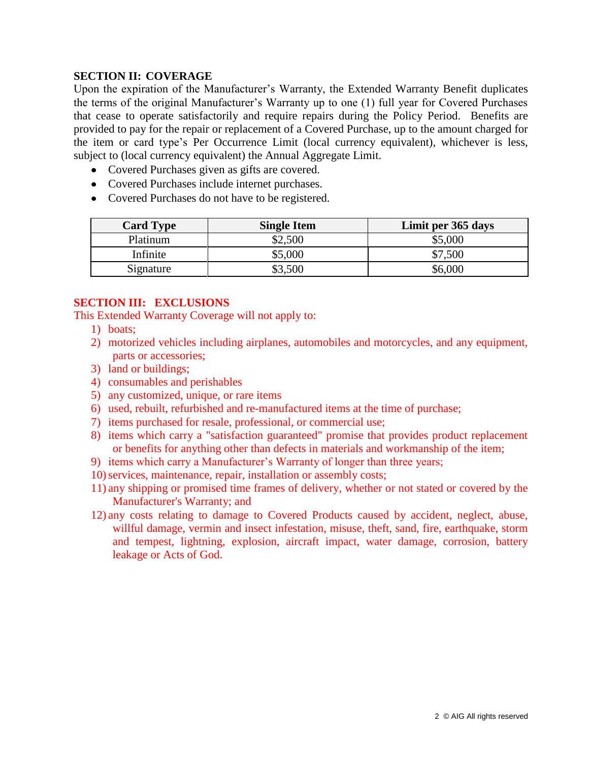# **SECTION II: COVERAGE**

Upon the expiration of the Manufacturer's Warranty, the Extended Warranty Benefit duplicates the terms of the original Manufacturer's Warranty up to one (1) full year for Covered Purchases that cease to operate satisfactorily and require repairs during the Policy Period. Benefits are provided to pay for the repair or replacement of a Covered Purchase, up to the amount charged for the item or card type's Per Occurrence Limit (local currency equivalent), whichever is less, subject to (local currency equivalent) the Annual Aggregate Limit.

- Covered Purchases given as gifts are covered.
- Covered Purchases include internet purchases.
- Covered Purchases do not have to be registered.

| <b>Card Type</b> | <b>Single Item</b> | Limit per 365 days |
|------------------|--------------------|--------------------|
| Platinum         | \$2,500            | \$5,000            |
| Infinite         | \$5,000            | \$7,500            |
| Signature        | \$3,500            | \$6,000            |

#### **SECTION III: EXCLUSIONS**

This Extended Warranty Coverage will not apply to:

- 1) boats;
- 2) motorized vehicles including airplanes, automobiles and motorcycles, and any equipment, parts or accessories;
- 3) land or buildings;
- 4) consumables and perishables
- 5) any customized, unique, or rare items
- 6) used, rebuilt, refurbished and re-manufactured items at the time of purchase;
- 7) items purchased for resale, professional, or commercial use;
- 8) items which carry a "satisfaction guaranteed" promise that provides product replacement or benefits for anything other than defects in materials and workmanship of the item;
- 9) items which carry a Manufacturer's Warranty of longer than three years;
- 10) services, maintenance, repair, installation or assembly costs;
- 11) any shipping or promised time frames of delivery, whether or not stated or covered by the Manufacturer's Warranty; and
- 12) any costs relating to damage to Covered Products caused by accident, neglect, abuse, willful damage, vermin and insect infestation, misuse, theft, sand, fire, earthquake, storm and tempest, lightning, explosion, aircraft impact, water damage, corrosion, battery leakage or Acts of God.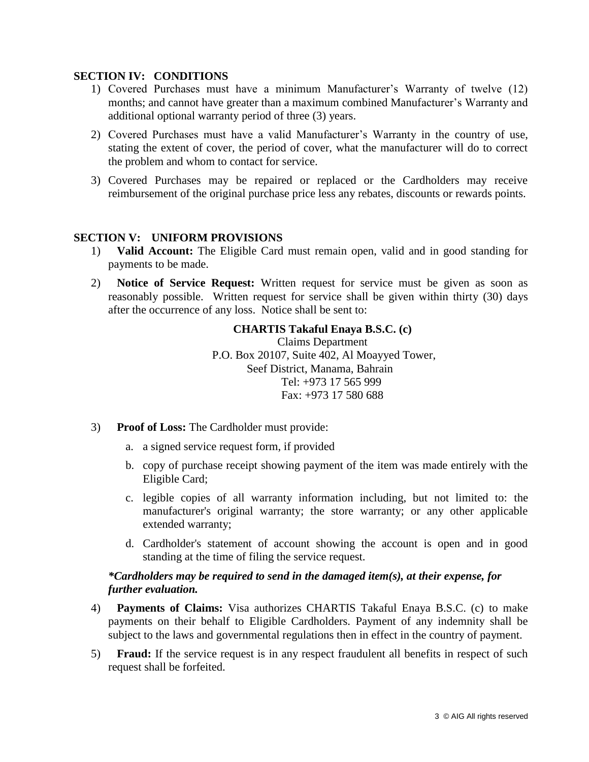### **SECTION IV: CONDITIONS**

- 1) Covered Purchases must have a minimum Manufacturer's Warranty of twelve (12) months; and cannot have greater than a maximum combined Manufacturer's Warranty and additional optional warranty period of three (3) years.
- 2) Covered Purchases must have a valid Manufacturer's Warranty in the country of use, stating the extent of cover, the period of cover, what the manufacturer will do to correct the problem and whom to contact for service.
- 3) Covered Purchases may be repaired or replaced or the Cardholders may receive reimbursement of the original purchase price less any rebates, discounts or rewards points.

# **SECTION V: UNIFORM PROVISIONS**

- 1) **Valid Account:** The Eligible Card must remain open, valid and in good standing for payments to be made.
- 2) **Notice of Service Request:** Written request for service must be given as soon as reasonably possible. Written request for service shall be given within thirty (30) days after the occurrence of any loss. Notice shall be sent to:

# **CHARTIS Takaful Enaya B.S.C. (c)**

Claims Department P.O. Box 20107, Suite 402, Al Moayyed Tower, Seef District, Manama, Bahrain Tel: +973 17 565 999 Fax: +973 17 580 688

- 3) **Proof of Loss:** The Cardholder must provide:
	- a. a signed service request form, if provided
	- b. copy of purchase receipt showing payment of the item was made entirely with the Eligible Card;
	- c. legible copies of all warranty information including, but not limited to: the manufacturer's original warranty; the store warranty; or any other applicable extended warranty;
	- d. Cardholder's statement of account showing the account is open and in good standing at the time of filing the service request.

# *\*Cardholders may be required to send in the damaged item(s), at their expense, for further evaluation.*

- 4) **Payments of Claims:** Visa authorizes CHARTIS Takaful Enaya B.S.C. (c) to make payments on their behalf to Eligible Cardholders. Payment of any indemnity shall be subject to the laws and governmental regulations then in effect in the country of payment.
- 5) **Fraud:** If the service request is in any respect fraudulent all benefits in respect of such request shall be forfeited.